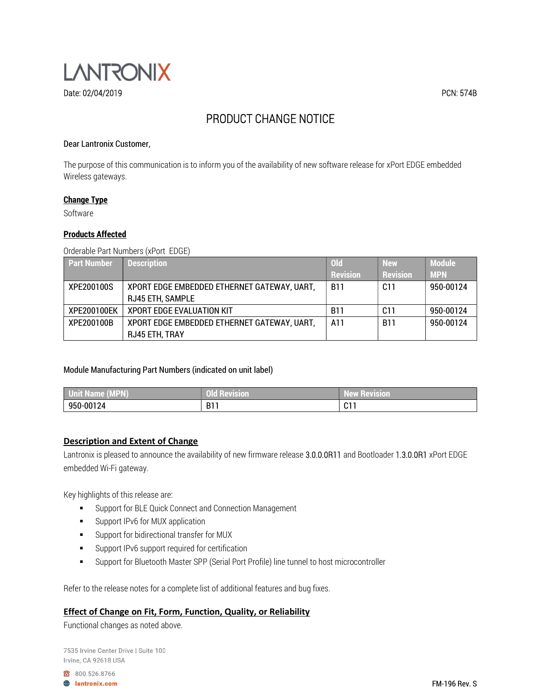

# PRODUCT CHANGE NOTICE

#### Dear Lantronix Customer,

The purpose of this communication is to inform you of the availability of new software release for xPort EDGE embedded Wireless gateways.

#### Change Type

Software

#### Products Affected

Orderable Part Numbers (xPort EDGE)

| <b>Part Number</b> | Description                                 | \Old\           | <b>New</b>      | <b>Module</b> |
|--------------------|---------------------------------------------|-----------------|-----------------|---------------|
|                    |                                             | <b>Revision</b> | <b>Revision</b> | <b>MPN</b>    |
| XPE200100S         | XPORT EDGE EMBEDDED ETHERNET GATEWAY, UART, | <b>B11</b>      | C11             | 950-00124     |
|                    | <b>RJ45 ETH, SAMPLE</b>                     |                 |                 |               |
| XPE200100EK        | <b>XPORT EDGE EVALUATION KIT</b>            | <b>B11</b>      | C11             | 950-00124     |
| XPE200100B         | XPORT EDGE EMBEDDED ETHERNET GATEWAY, UART, | A11             | <b>B11</b>      | 950-00124     |
|                    | RJ45 ETH, TRAY                              |                 |                 |               |

#### Module Manufacturing Part Numbers (indicated on unit label)

| <b>MOM.</b><br>l U<br>Jnit Name (MPN). | <b>Contract Contract Contract</b><br>i Revision<br>uu | __<br>w Revision'<br><b>ATT</b><br>$1 - 1$ |
|----------------------------------------|-------------------------------------------------------|--------------------------------------------|
| 950-00124                              | B11                                                   | . C. 1.<br>.                               |

#### Description and Extent of Change

Lantronix is pleased to announce the availability of new firmware release 3.0.0.0R11 and Bootloader 1.3.0.0R1 xPort EDGE embedded Wi-Fi gateway.

Key highlights of this release are:

- **Support for BLE Quick Connect and Connection Management**
- **Support IPv6 for MUX application**
- **Support for bidirectional transfer for MUX**
- **Support IPv6 support required for certification**
- Support for Bluetooth Master SPP (Serial Port Profile) line tunnel to host microcontroller

Refer to the release notes for a complete list of additional features and bug fixes.

### Effect of Change on Fit, Form, Function, Quality, or Reliability

Functional changes as noted above.

7535 Irvine Center Drive | Suite 100 Irvine, CA 92618 USA

800.526.8766

**A** lantronix.com